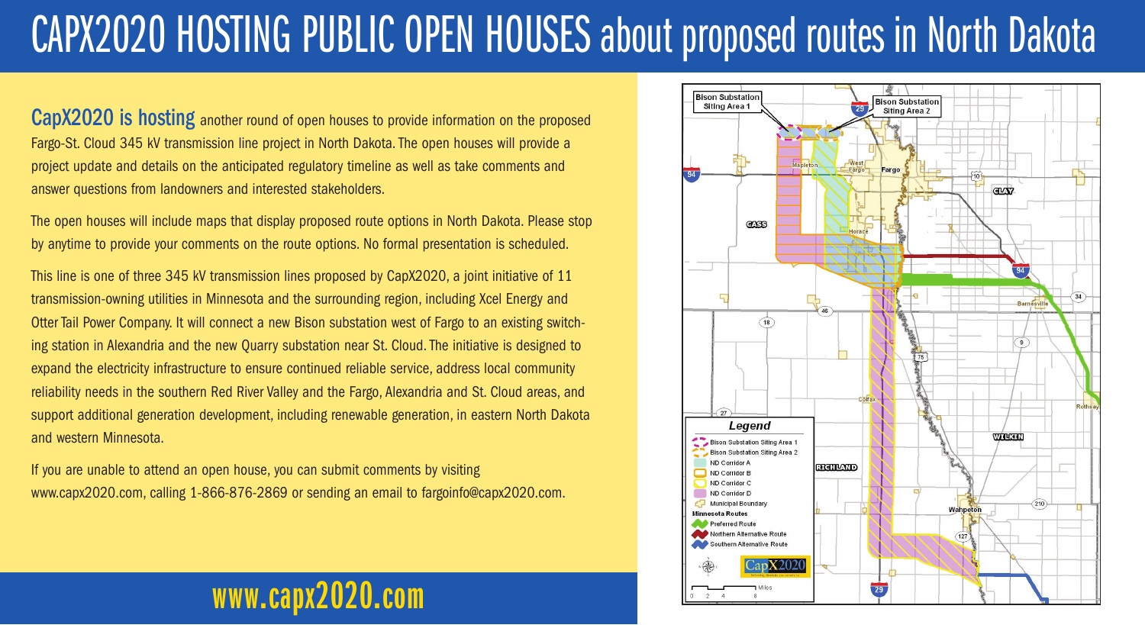## CAPX2020 HOSTING PUBLIC OPEN HOUSES about proposed routes in North Dakota

CapX2020 is hosting another round of open houses to provide information on the proposed Fargo-St. Cloud 345 kV transmission line project in North Dakota. The open houses will provide a project update and details on the anticipated regulatory timeline as well as take comments and answer questions from landowners and interested stakeholders.

The open houses will include maps that display proposed route options in North Dakota. Please stop by anytime to provide your comments on the route options. No formal presentation is scheduled.

This line is one of three 345 kV transmission lines proposed by CapX2020, a joint initiative of 11 transmission-owning utilities in Minnesota and the surrounding region, including Xcel Energy and Otter Tail Power Company. It will connect a new Bison substation west of Fargo to an existing switching station in Alexandria and the new Quarry substation near St. Cloud. The initiative is designed to expand the electricity infrastructure to ensure continued reliable service, address local community reliability needs in the southern Red River Valley and the Fargo, Alexandria and St. Cloud areas, and support additional generation development, including renewable generation, in eastern North Dakota and western Minnesota.

If you are unable to attend an open house, you can submit comments by visiting www.capx2020.com, calling 1-866-876-2869 or sending an email to fargoinfo@capx2020.com.

**www.capx2020.com**